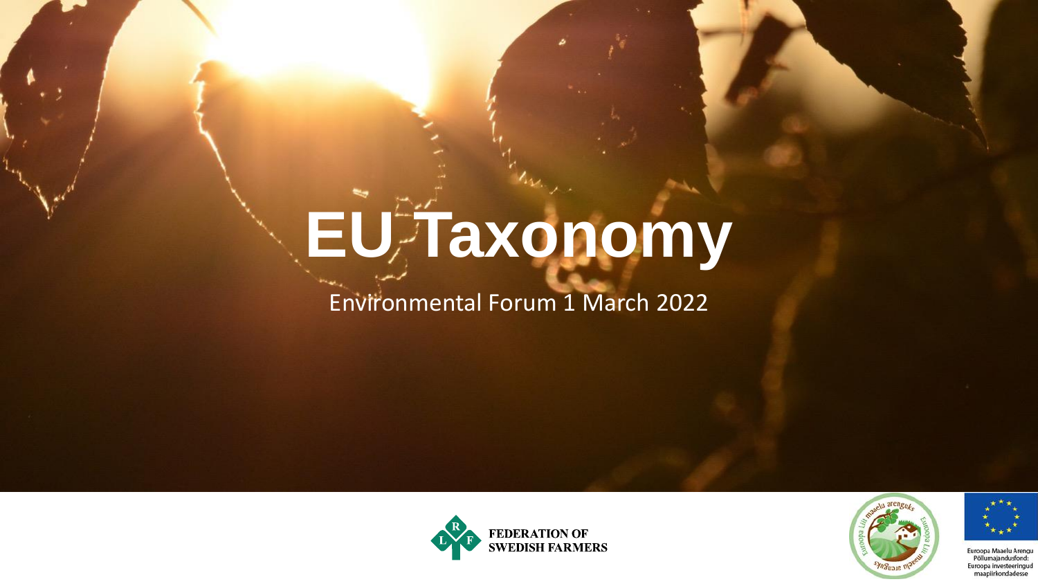# **EU Taxonomy**

Environmental Forum 1 March 2022







Euroopa Maaelu Arengu Põllumajandusfond: Euroopa investeeringud maaplirkondadesse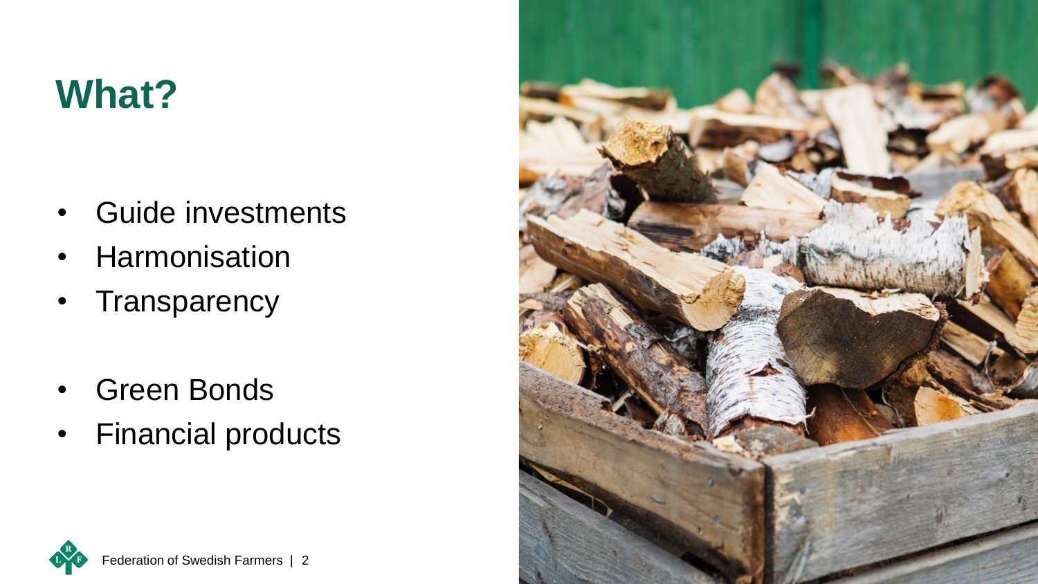### **What?**

- Guide investments
- Harmonisation
- Transparency
- Green Bonds
- Financial products

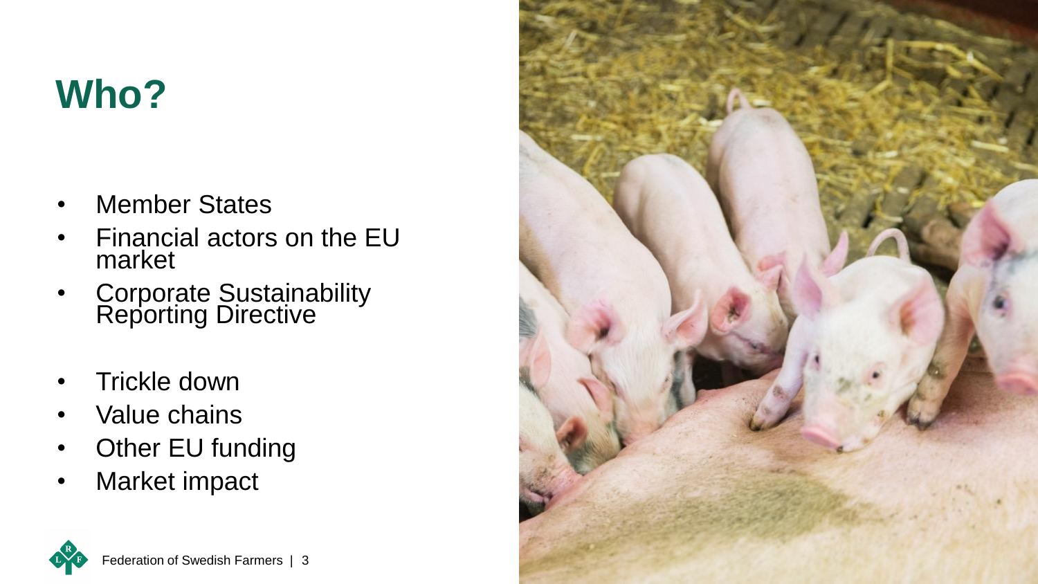### **Who?**

- **Member States**
- Financial actors on the EU market
- Corporate Sustainability Reporting Directive
- **Trickle down**
- Value chains
- Other EU funding

Federation of Swedish Farmers | 3

• Market impact

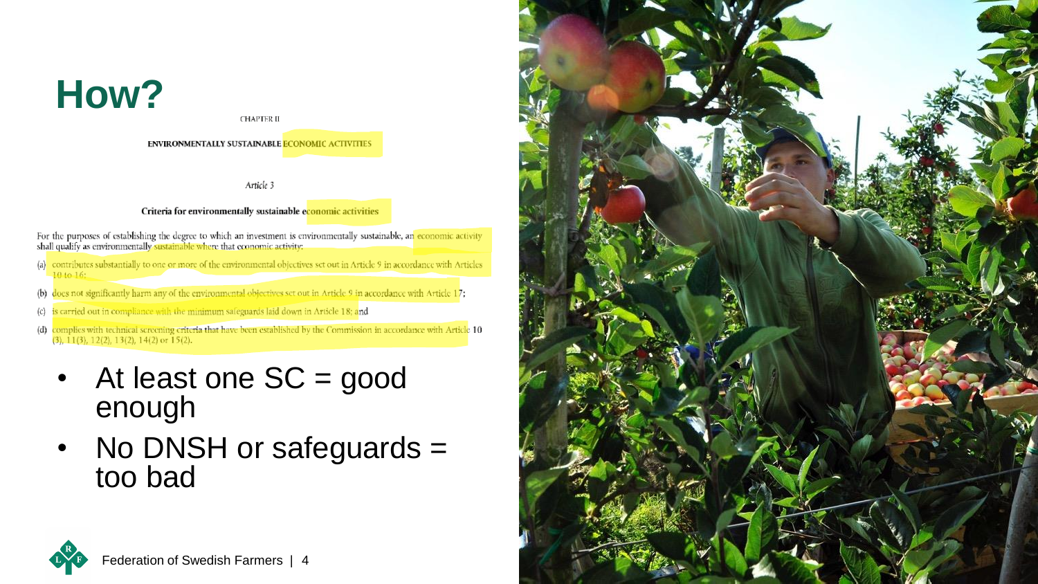

**CHAPTER II** 

**ENVIRONMENTALLY SUSTAINABLE ECONOMIC ACTIVITIES** 

Article 3

#### Criteria for environmentally sustainable economic activities

For the purposes of establishing the degree to which an investment is environmentally sustainable, an economic activity shall qualify as environmentally sustainable where that economic activity:

- (a) contributes substantially to one or more of the environmental objectives set out in Article 9 in accordance with Articles  $10 to 16$
- (b) does not significantly harm any of the environmental objectives set out in Article 9 in accordance with Article 17;
- (c) is carried out in compliance with the minimum safeguards laid down in Article 18; and
- (d) complies with technical screening criteria that have been established by the Commission in accordance with Article 10  $(3)$ , 11(3), 12(2), 13(2), 14(2) or 15(2).
	- At least one  $SC = good$ enough
	- No DNSH or safeguards = too bad

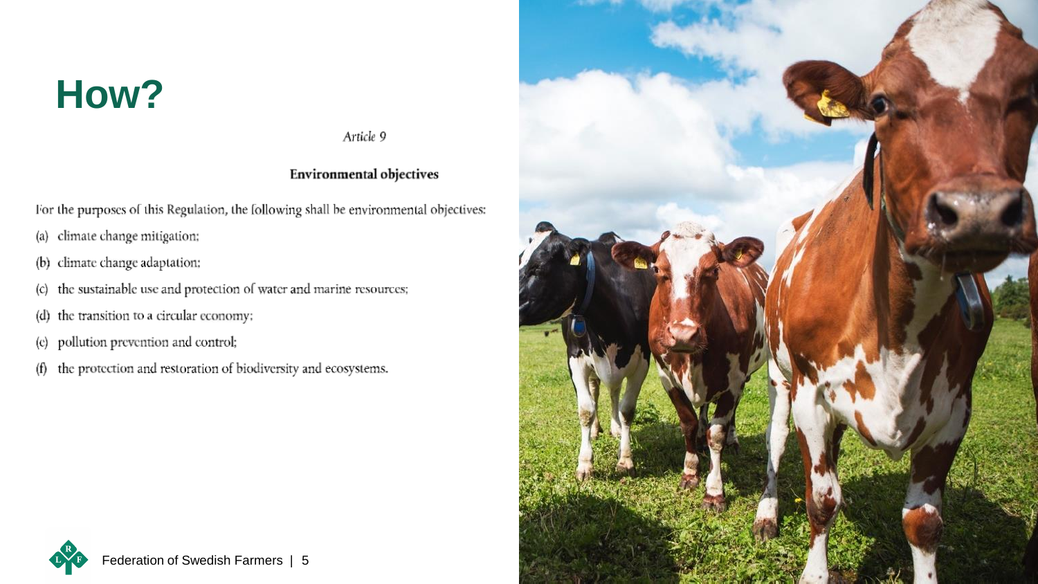### **How?**

Article 9

### **Environmental objectives**

For the purposes of this Regulation, the following shall be environmental objectives:

- (a) climate change mitigation;
- (b) climate change adaptation;
- (c) the sustainable use and protection of water and marine resources;
- (d) the transition to a circular economy;
- (e) pollution prevention and control;
- (f) the protection and restoration of biodiversity and ecosystems.

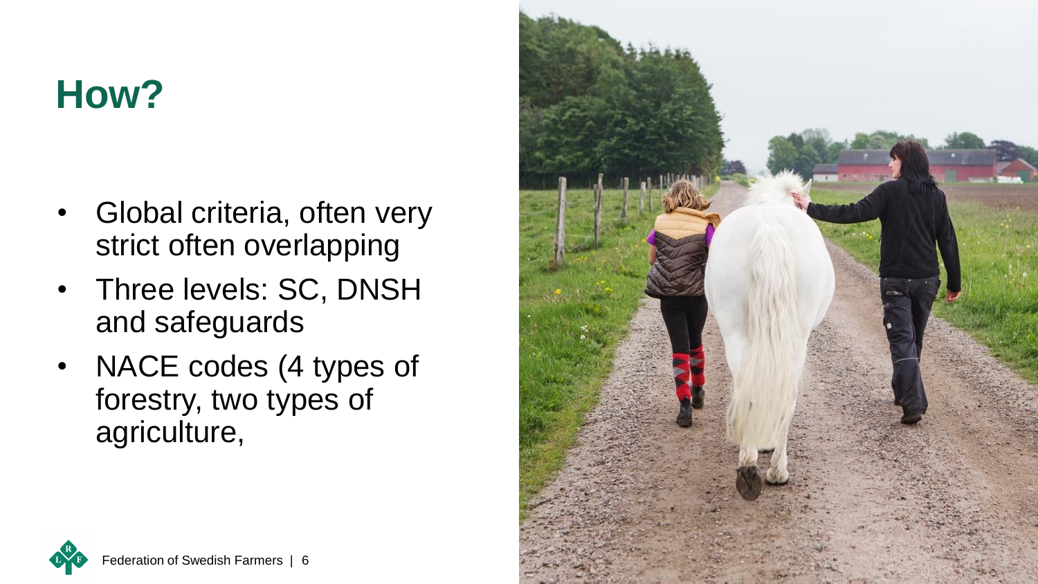### **How?**

- Global criteria, often very strict often overlapping
- Three levels: SC, DNSH and safeguards
- NACE codes (4 types of forestry, two types of agriculture,

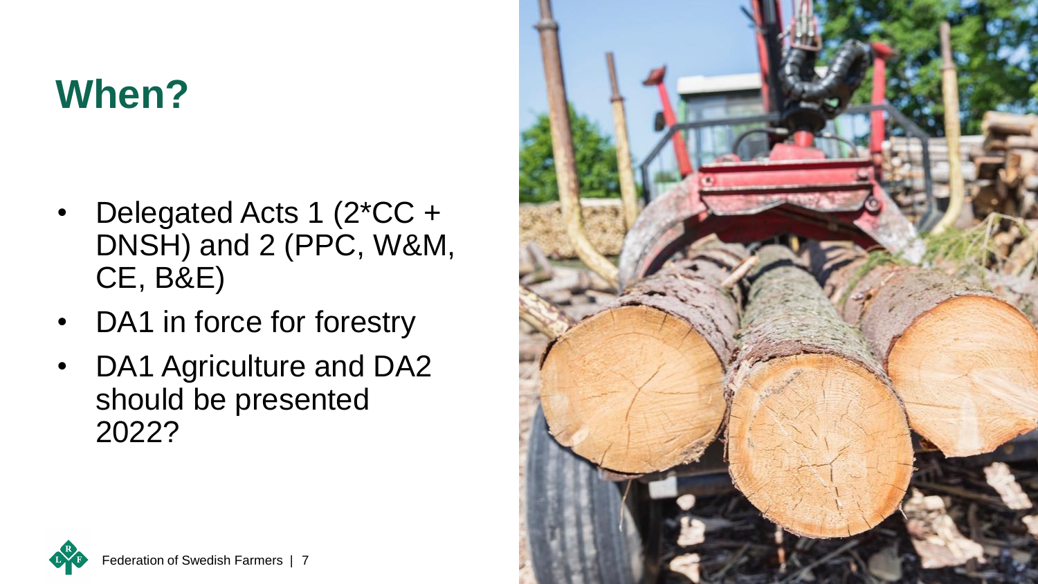### **When?**

- Delegated Acts 1 (2\*CC + DNSH) and 2 (PPC, W&M, CE, B&E)
- DA1 in force for forestry
- DA1 Agriculture and DA2 should be presented 2022?

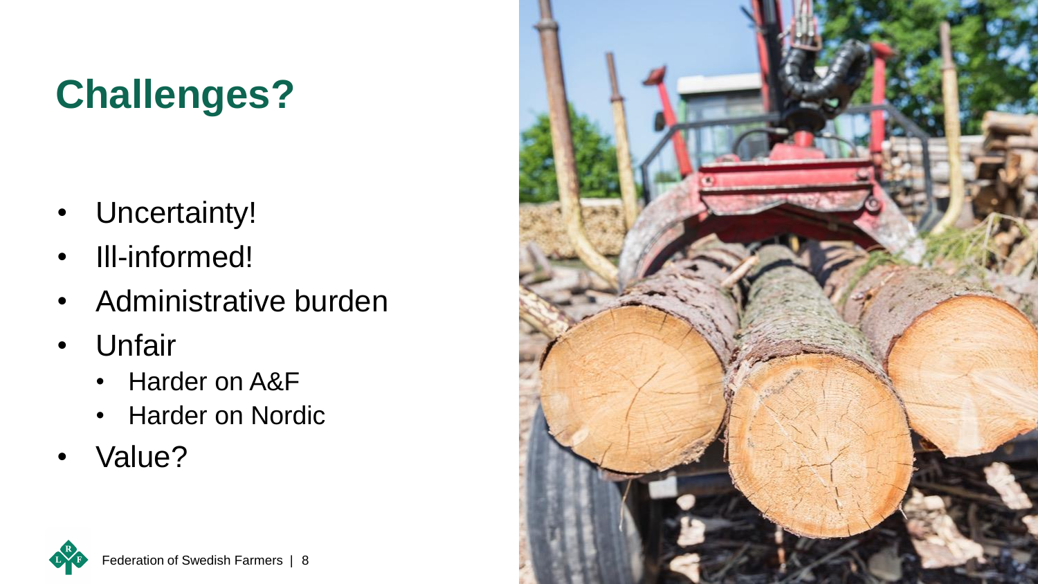## **Challenges?**

- Uncertainty!
- Ill-informed!
- Administrative burden
- Unfair
	- Harder on A&F
	- Harder on Nordic
- Value?

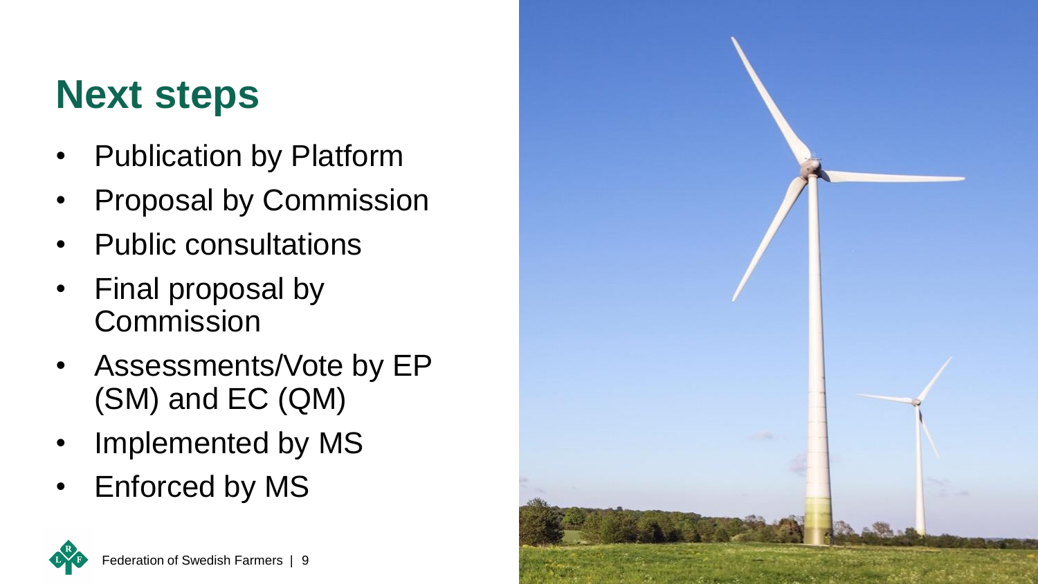### **Next steps**

- Publication by Platform
- Proposal by Commission
- Public consultations
- Final proposal by Commission
- Assessments/Vote by EP (SM) and EC (QM)
- Implemented by MS
- Enforced by MS